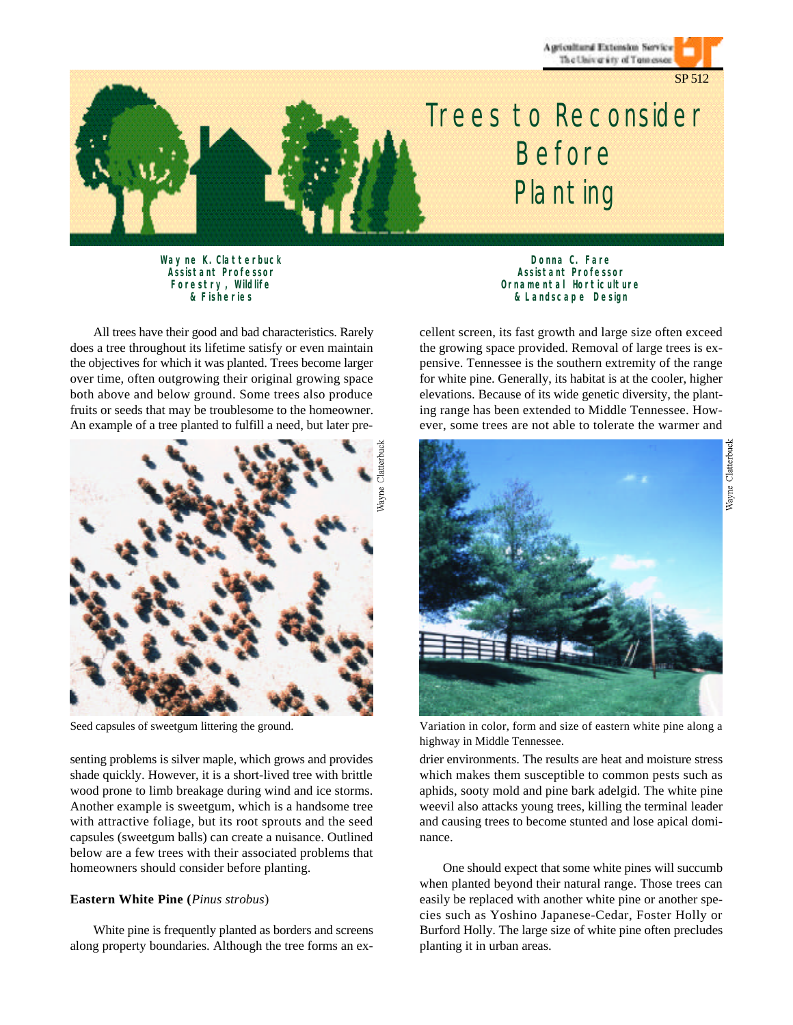Agricultural Extension Service The University of Tennessee



# *Trees to Reconsider Before Planting*

*Wayne K. Clatterbuck Assistant Professor Forestry, Wildlife & Fisheries*

All trees have their good and bad characteristics. Rarely does a tree throughout its lifetime satisfy or even maintain the objectives for which it was planted. Trees become larger over time, often outgrowing their original growing space both above and below ground. Some trees also produce fruits or seeds that may be troublesome to the homeowner. An example of a tree planted to fulfill a need, but later pre-



Seed capsules of sweetgum littering the ground.

senting problems is silver maple, which grows and provides shade quickly. However, it is a short-lived tree with brittle wood prone to limb breakage during wind and ice storms. Another example is sweetgum, which is a handsome tree with attractive foliage, but its root sprouts and the seed capsules (sweetgum balls) can create a nuisance. Outlined below are a few trees with their associated problems that homeowners should consider before planting.

## **Eastern White Pine (***Pinus strobus*)

White pine is frequently planted as borders and screens along property boundaries. Although the tree forms an ex-

*Donna C. Fare Assistant Professor Ornamental Horticulture & Landscape Design*

cellent screen, its fast growth and large size often exceed the growing space provided. Removal of large trees is expensive. Tennessee is the southern extremity of the range for white pine. Generally, its habitat is at the cooler, higher elevations. Because of its wide genetic diversity, the planting range has been extended to Middle Tennessee. However, some trees are not able to tolerate the warmer and



Variation in color, form and size of eastern white pine along a highway in Middle Tennessee.

drier environments. The results are heat and moisture stress which makes them susceptible to common pests such as aphids, sooty mold and pine bark adelgid. The white pine weevil also attacks young trees, killing the terminal leader and causing trees to become stunted and lose apical dominance.

One should expect that some white pines will succumb when planted beyond their natural range. Those trees can easily be replaced with another white pine or another species such as Yoshino Japanese-Cedar, Foster Holly or Burford Holly. The large size of white pine often precludes planting it in urban areas.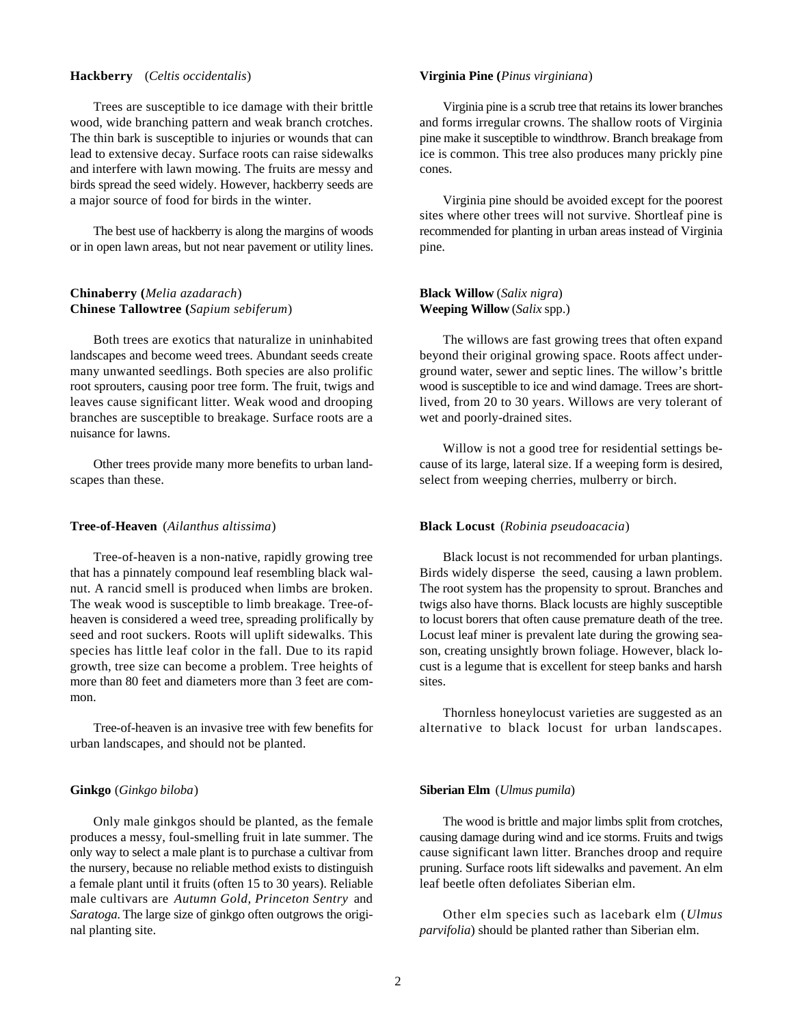## **Hackberry** (*Celtis occidentalis*)

Trees are susceptible to ice damage with their brittle wood, wide branching pattern and weak branch crotches. The thin bark is susceptible to injuries or wounds that can lead to extensive decay. Surface roots can raise sidewalks and interfere with lawn mowing. The fruits are messy and birds spread the seed widely. However, hackberry seeds are a major source of food for birds in the winter.

The best use of hackberry is along the margins of woods or in open lawn areas, but not near pavement or utility lines.

# **Chinaberry (***Melia azadarach*) **Chinese Tallowtree (***Sapium sebiferum*)

Both trees are exotics that naturalize in uninhabited landscapes and become weed trees. Abundant seeds create many unwanted seedlings. Both species are also prolific root sprouters, causing poor tree form. The fruit, twigs and leaves cause significant litter. Weak wood and drooping branches are susceptible to breakage. Surface roots are a nuisance for lawns.

Other trees provide many more benefits to urban landscapes than these.

### **Tree-of-Heaven** (*Ailanthus altissima*)

Tree-of-heaven is a non-native, rapidly growing tree that has a pinnately compound leaf resembling black walnut. A rancid smell is produced when limbs are broken. The weak wood is susceptible to limb breakage. Tree-ofheaven is considered a weed tree, spreading prolifically by seed and root suckers. Roots will uplift sidewalks. This species has little leaf color in the fall. Due to its rapid growth, tree size can become a problem. Tree heights of more than 80 feet and diameters more than 3 feet are common.

Tree-of-heaven is an invasive tree with few benefits for urban landscapes, and should not be planted.

#### **Ginkgo** (*Ginkgo biloba*)

Only male ginkgos should be planted, as the female produces a messy, foul-smelling fruit in late summer. The only way to select a male plant is to purchase a cultivar from the nursery, because no reliable method exists to distinguish a female plant until it fruits (often 15 to 30 years). Reliable male cultivars are *Autumn Gold, Princeton Sentry* and *Saratoga.* The large size of ginkgo often outgrows the original planting site.

## **Virginia Pine (***Pinus virginiana*)

Virginia pine is a scrub tree that retains its lower branches and forms irregular crowns. The shallow roots of Virginia pine make it susceptible to windthrow. Branch breakage from ice is common. This tree also produces many prickly pine cones.

Virginia pine should be avoided except for the poorest sites where other trees will not survive. Shortleaf pine is recommended for planting in urban areas instead of Virginia pine.

# **Black Willow** (*Salix nigra*) **Weeping Willow** (*Salix* spp.)

The willows are fast growing trees that often expand beyond their original growing space. Roots affect underground water, sewer and septic lines. The willow's brittle wood is susceptible to ice and wind damage. Trees are shortlived, from 20 to 30 years. Willows are very tolerant of wet and poorly-drained sites.

Willow is not a good tree for residential settings because of its large, lateral size. If a weeping form is desired, select from weeping cherries, mulberry or birch.

## **Black Locust** (*Robinia pseudoacacia*)

Black locust is not recommended for urban plantings. Birds widely disperse the seed, causing a lawn problem. The root system has the propensity to sprout. Branches and twigs also have thorns. Black locusts are highly susceptible to locust borers that often cause premature death of the tree. Locust leaf miner is prevalent late during the growing season, creating unsightly brown foliage. However, black locust is a legume that is excellent for steep banks and harsh sites.

Thornless honeylocust varieties are suggested as an alternative to black locust for urban landscapes.

#### **Siberian Elm** (*Ulmus pumila*)

The wood is brittle and major limbs split from crotches, causing damage during wind and ice storms. Fruits and twigs cause significant lawn litter. Branches droop and require pruning. Surface roots lift sidewalks and pavement. An elm leaf beetle often defoliates Siberian elm.

Other elm species such as lacebark elm (*Ulmus parvifolia*) should be planted rather than Siberian elm.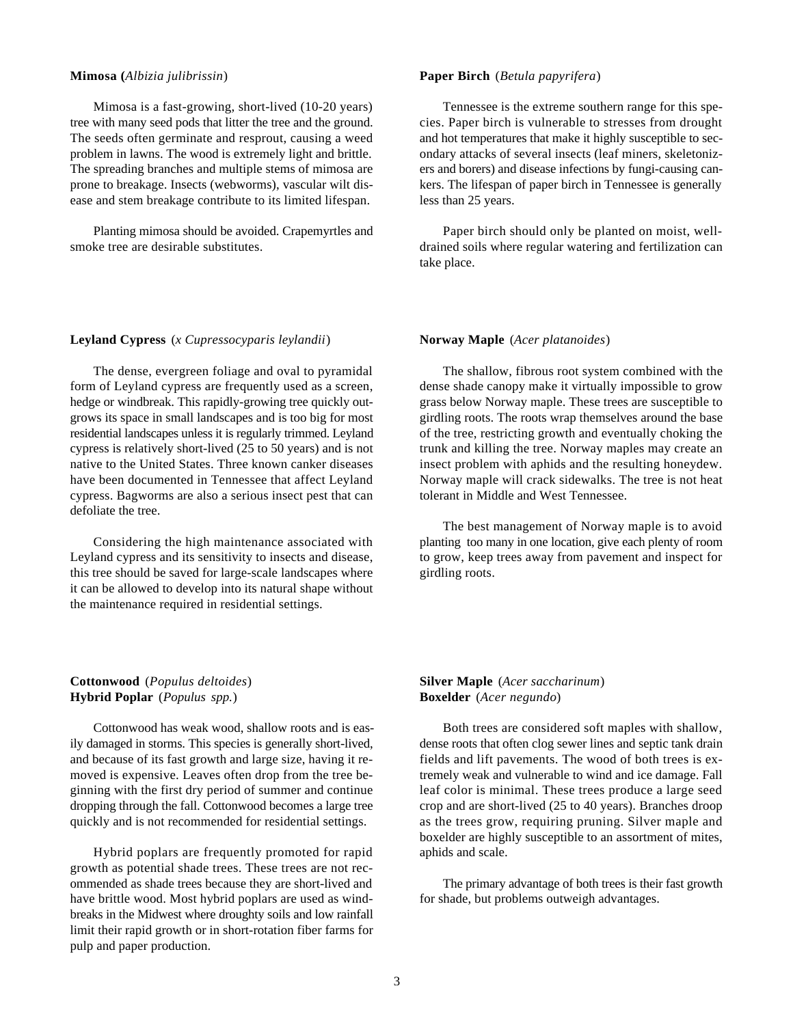## **Mimosa (***Albizia julibrissin*)

Mimosa is a fast-growing, short-lived (10-20 years) tree with many seed pods that litter the tree and the ground. The seeds often germinate and resprout, causing a weed problem in lawns. The wood is extremely light and brittle. The spreading branches and multiple stems of mimosa are prone to breakage. Insects (webworms), vascular wilt disease and stem breakage contribute to its limited lifespan.

Planting mimosa should be avoided. Crapemyrtles and smoke tree are desirable substitutes.

## **Paper Birch** (*Betula papyrifera*)

Tennessee is the extreme southern range for this species. Paper birch is vulnerable to stresses from drought and hot temperatures that make it highly susceptible to secondary attacks of several insects (leaf miners, skeletonizers and borers) and disease infections by fungi-causing cankers. The lifespan of paper birch in Tennessee is generally less than 25 years.

Paper birch should only be planted on moist, welldrained soils where regular watering and fertilization can take place.

#### **Leyland Cypress** (*x Cupressocyparis leylandii*)

The dense, evergreen foliage and oval to pyramidal form of Leyland cypress are frequently used as a screen, hedge or windbreak. This rapidly-growing tree quickly outgrows its space in small landscapes and is too big for most residential landscapes unless it is regularly trimmed. Leyland cypress is relatively short-lived (25 to 50 years) and is not native to the United States. Three known canker diseases have been documented in Tennessee that affect Leyland cypress. Bagworms are also a serious insect pest that can defoliate the tree.

Considering the high maintenance associated with Leyland cypress and its sensitivity to insects and disease, this tree should be saved for large-scale landscapes where it can be allowed to develop into its natural shape without the maintenance required in residential settings.

## **Norway Maple** (*Acer platanoides*)

The shallow, fibrous root system combined with the dense shade canopy make it virtually impossible to grow grass below Norway maple. These trees are susceptible to girdling roots. The roots wrap themselves around the base of the tree, restricting growth and eventually choking the trunk and killing the tree. Norway maples may create an insect problem with aphids and the resulting honeydew. Norway maple will crack sidewalks. The tree is not heat tolerant in Middle and West Tennessee.

The best management of Norway maple is to avoid planting too many in one location, give each plenty of room to grow, keep trees away from pavement and inspect for girdling roots.

# **Cottonwood** (*Populus deltoides*) **Hybrid Poplar** (*Populus spp.*)

Cottonwood has weak wood, shallow roots and is easily damaged in storms. This species is generally short-lived, and because of its fast growth and large size, having it removed is expensive. Leaves often drop from the tree beginning with the first dry period of summer and continue dropping through the fall. Cottonwood becomes a large tree quickly and is not recommended for residential settings.

Hybrid poplars are frequently promoted for rapid growth as potential shade trees. These trees are not recommended as shade trees because they are short-lived and have brittle wood. Most hybrid poplars are used as windbreaks in the Midwest where droughty soils and low rainfall limit their rapid growth or in short-rotation fiber farms for pulp and paper production.

# **Silver Maple** (*Acer saccharinum*) **Boxelder** (*Acer negundo*)

Both trees are considered soft maples with shallow, dense roots that often clog sewer lines and septic tank drain fields and lift pavements. The wood of both trees is extremely weak and vulnerable to wind and ice damage. Fall leaf color is minimal. These trees produce a large seed crop and are short-lived (25 to 40 years). Branches droop as the trees grow, requiring pruning. Silver maple and boxelder are highly susceptible to an assortment of mites, aphids and scale.

The primary advantage of both trees is their fast growth for shade, but problems outweigh advantages.